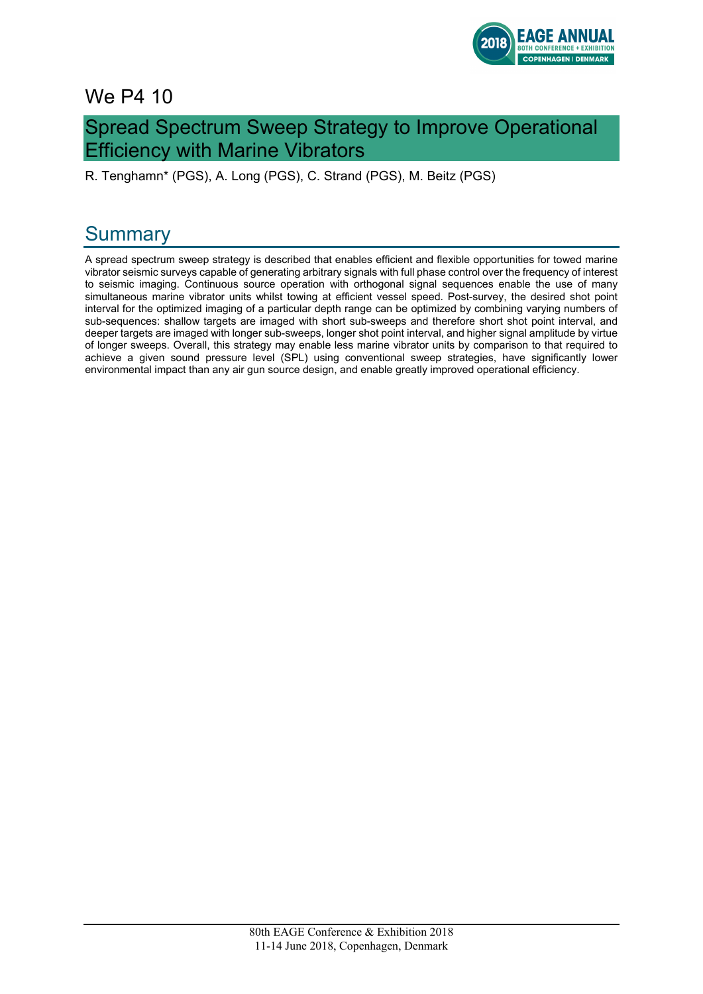

## We P4 10

## Spread Spectrum Sweep Strategy to Improve Operational Efficiency with Marine Vibrators

R. Tenghamn\* (PGS), A. Long (PGS), C. Strand (PGS), M. Beitz (PGS)

# **Summary**

A spread spectrum sweep strategy is described that enables efficient and flexible opportunities for towed marine vibrator seismic surveys capable of generating arbitrary signals with full phase control over the frequency of interest to seismic imaging. Continuous source operation with orthogonal signal sequences enable the use of many simultaneous marine vibrator units whilst towing at efficient vessel speed. Post-survey, the desired shot point interval for the optimized imaging of a particular depth range can be optimized by combining varying numbers of sub-sequences: shallow targets are imaged with short sub-sweeps and therefore short shot point interval, and deeper targets are imaged with longer sub-sweeps, longer shot point interval, and higher signal amplitude by virtue of longer sweeps. Overall, this strategy may enable less marine vibrator units by comparison to that required to achieve a given sound pressure level (SPL) using conventional sweep strategies, have significantly lower environmental impact than any air gun source design, and enable greatly improved operational efficiency.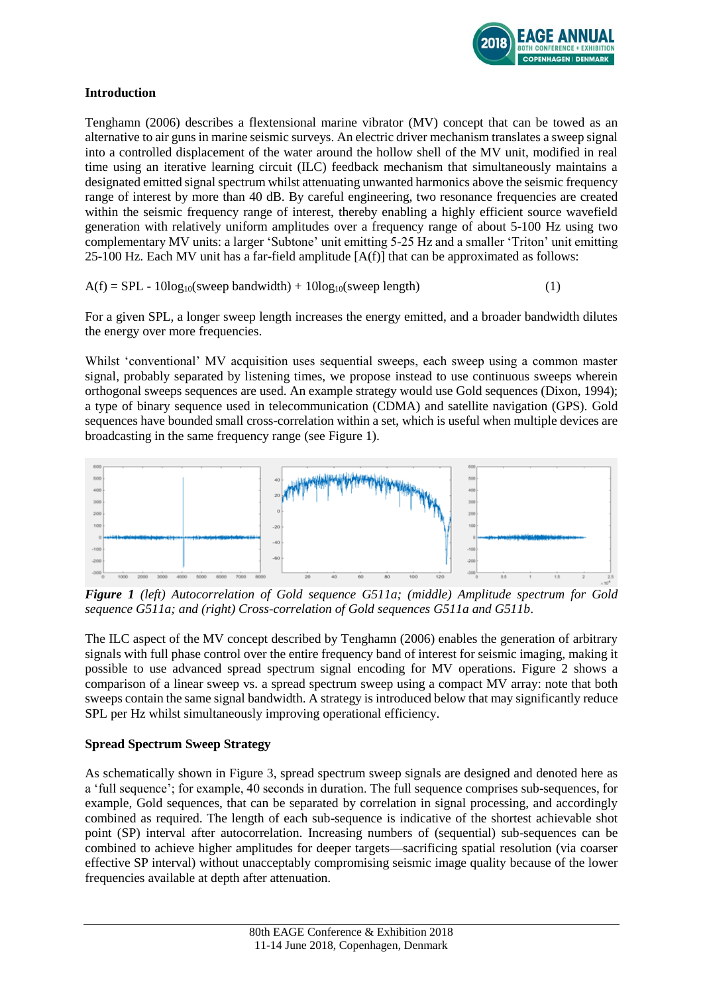

### **Introduction**

Tenghamn (2006) describes a flextensional marine vibrator (MV) concept that can be towed as an alternative to air guns in marine seismic surveys. An electric driver mechanism translates a sweep signal into a controlled displacement of the water around the hollow shell of the MV unit, modified in real time using an iterative learning circuit (ILC) feedback mechanism that simultaneously maintains a designated emitted signal spectrum whilst attenuating unwanted harmonics above the seismic frequency range of interest by more than 40 dB. By careful engineering, two resonance frequencies are created within the seismic frequency range of interest, thereby enabling a highly efficient source wavefield generation with relatively uniform amplitudes over a frequency range of about 5-100 Hz using two complementary MV units: a larger 'Subtone' unit emitting 5-25 Hz and a smaller 'Triton' unit emitting 25-100 Hz. Each MV unit has a far-field amplitude  $[A(f)]$  that can be approximated as follows:

 $A(f) = SPL - 10\log_{10}(s$  weep bandwidth  $) + 10\log_{10}(s$  weep length (1)

For a given SPL, a longer sweep length increases the energy emitted, and a broader bandwidth dilutes the energy over more frequencies.

Whilst 'conventional' MV acquisition uses sequential sweeps, each sweep using a common master signal, probably separated by listening times, we propose instead to use continuous sweeps wherein orthogonal sweeps sequences are used. An example strategy would use Gold sequences (Dixon, 1994); a type of binary sequence used in telecommunication (CDMA) and satellite navigation (GPS). Gold sequences have bounded small cross-correlation within a set, which is useful when multiple devices are broadcasting in the same frequency range (see Figure 1).



*Figure 1 (left) Autocorrelation of Gold sequence G511a; (middle) Amplitude spectrum for Gold sequence G511a; and (right) Cross-correlation of Gold sequences G511a and G511b*.

The ILC aspect of the MV concept described by Tenghamn (2006) enables the generation of arbitrary signals with full phase control over the entire frequency band of interest for seismic imaging, making it possible to use advanced spread spectrum signal encoding for MV operations. Figure 2 shows a comparison of a linear sweep vs. a spread spectrum sweep using a compact MV array: note that both sweeps contain the same signal bandwidth. A strategy is introduced below that may significantly reduce SPL per Hz whilst simultaneously improving operational efficiency.

### **Spread Spectrum Sweep Strategy**

As schematically shown in Figure 3, spread spectrum sweep signals are designed and denoted here as a 'full sequence'; for example, 40 seconds in duration. The full sequence comprises sub-sequences, for example, Gold sequences, that can be separated by correlation in signal processing, and accordingly combined as required. The length of each sub-sequence is indicative of the shortest achievable shot point (SP) interval after autocorrelation. Increasing numbers of (sequential) sub-sequences can be combined to achieve higher amplitudes for deeper targets—sacrificing spatial resolution (via coarser effective SP interval) without unacceptably compromising seismic image quality because of the lower frequencies available at depth after attenuation.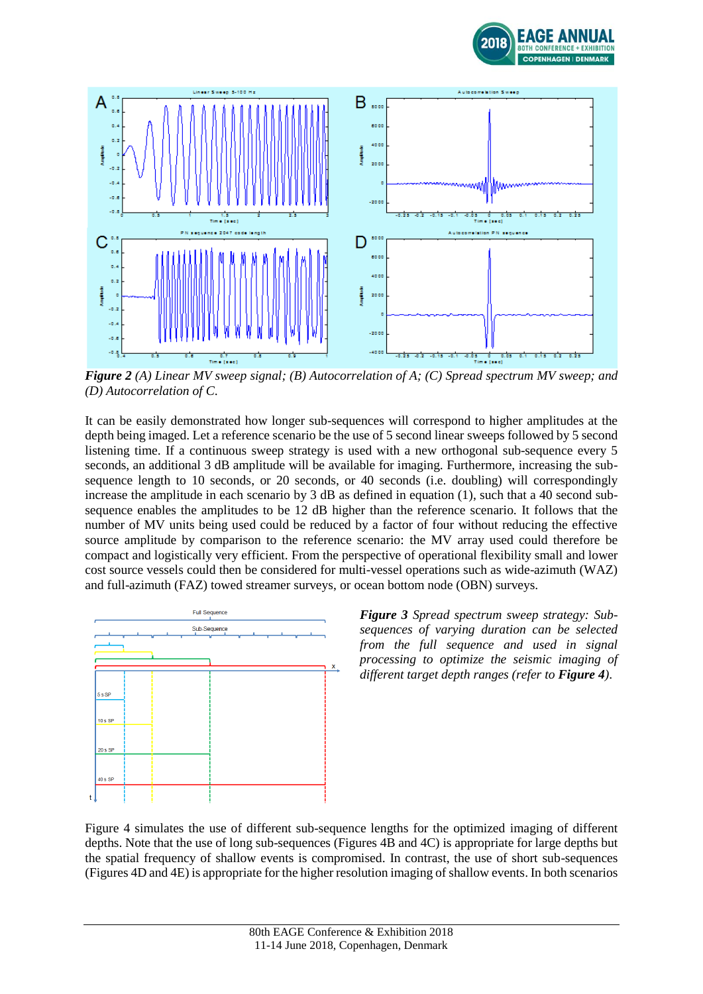



*Figure 2 (A) Linear MV sweep signal; (B) Autocorrelation of A; (C) Spread spectrum MV sweep; and (D) Autocorrelation of C*.

It can be easily demonstrated how longer sub-sequences will correspond to higher amplitudes at the depth being imaged. Let a reference scenario be the use of 5 second linear sweeps followed by 5 second listening time. If a continuous sweep strategy is used with a new orthogonal sub-sequence every 5 seconds, an additional 3 dB amplitude will be available for imaging. Furthermore, increasing the subsequence length to 10 seconds, or 20 seconds, or 40 seconds (i.e. doubling) will correspondingly increase the amplitude in each scenario by 3 dB as defined in equation (1), such that a 40 second subsequence enables the amplitudes to be 12 dB higher than the reference scenario. It follows that the number of MV units being used could be reduced by a factor of four without reducing the effective source amplitude by comparison to the reference scenario: the MV array used could therefore be compact and logistically very efficient. From the perspective of operational flexibility small and lower cost source vessels could then be considered for multi-vessel operations such as wide-azimuth (WAZ) and full-azimuth (FAZ) towed streamer surveys, or ocean bottom node (OBN) surveys.



*Figure 3 Spread spectrum sweep strategy: Subsequences of varying duration can be selected from the full sequence and used in signal processing to optimize the seismic imaging of different target depth ranges (refer to Figure 4)*.

Figure 4 simulates the use of different sub-sequence lengths for the optimized imaging of different depths. Note that the use of long sub-sequences (Figures 4B and 4C) is appropriate for large depths but the spatial frequency of shallow events is compromised. In contrast, the use of short sub-sequences (Figures 4D and 4E) is appropriate for the higher resolution imaging of shallow events. In both scenarios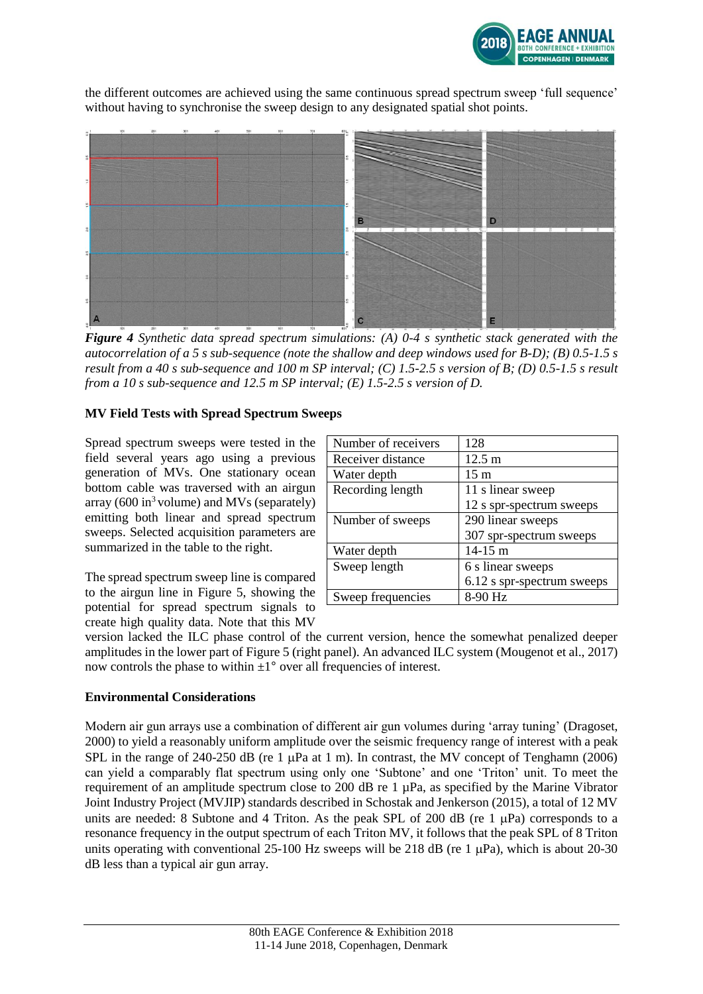

the different outcomes are achieved using the same continuous spread spectrum sweep 'full sequence' without having to synchronise the sweep design to any designated spatial shot points.



*Figure 4 Synthetic data spread spectrum simulations: (A) 0-4 s synthetic stack generated with the autocorrelation of a 5 s sub-sequence (note the shallow and deep windows used for B-D); (B) 0.5-1.5 s result from a 40 s sub-sequence and 100 m SP interval; (C) 1.5-2.5 s version of B; (D) 0.5-1.5 s result from a 10 s sub-sequence and 12.5 m SP interval; (E) 1.5-2.5 s version of D.*

### **MV Field Tests with Spread Spectrum Sweeps**

Spread spectrum sweeps were tested in the field several years ago using a previous generation of MVs. One stationary ocean bottom cable was traversed with an airgun array (600 in $3$  volume) and MVs (separately) emitting both linear and spread spectrum sweeps. Selected acquisition parameters are summarized in the table to the right.

The spread spectrum sweep line is compared to the airgun line in Figure 5, showing the potential for spread spectrum signals to create high quality data. Note that this MV

| Number of receivers | 128                        |
|---------------------|----------------------------|
| Receiver distance   | $12.5 \text{ m}$           |
| Water depth         | $15 \text{ m}$             |
| Recording length    | 11 s linear sweep          |
|                     | 12 s spr-spectrum sweeps   |
| Number of sweeps    | 290 linear sweeps          |
|                     | 307 spr-spectrum sweeps    |
| Water depth         | $14-15 \text{ m}$          |
| Sweep length        | 6 s linear sweeps          |
|                     | 6.12 s spr-spectrum sweeps |
| Sweep frequencies   | 8-90 Hz                    |

version lacked the ILC phase control of the current version, hence the somewhat penalized deeper amplitudes in the lower part of Figure 5 (right panel). An advanced ILC system (Mougenot et al., 2017) now controls the phase to within  $\pm 1^{\circ}$  over all frequencies of interest.

#### **Environmental Considerations**

Modern air gun arrays use a combination of different air gun volumes during 'array tuning' (Dragoset, 2000) to yield a reasonably uniform amplitude over the seismic frequency range of interest with a peak SPL in the range of 240-250 dB (re 1  $\mu$ Pa at 1 m). In contrast, the MV concept of Tenghamn (2006) can yield a comparably flat spectrum using only one 'Subtone' and one 'Triton' unit. To meet the requirement of an amplitude spectrum close to 200 dB re 1 µPa, as specified by the Marine Vibrator Joint Industry Project (MVJIP) standards described in Schostak and Jenkerson (2015), a total of 12 MV units are needed: 8 Subtone and 4 Triton. As the peak SPL of 200 dB (re 1  $\mu$ Pa) corresponds to a resonance frequency in the output spectrum of each Triton MV, it follows that the peak SPL of 8 Triton units operating with conventional 25-100 Hz sweeps will be 218 dB (re 1  $\mu$ Pa), which is about 20-30 dB less than a typical air gun array.